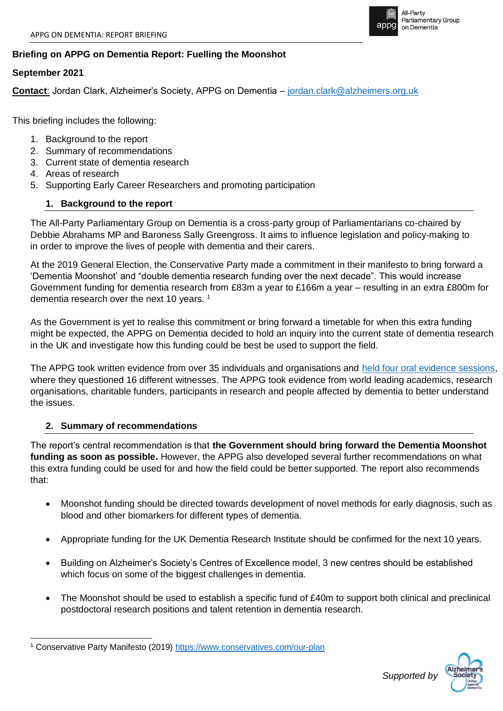

# **Briefing on APPG on Dementia Report: Fuelling the Moonshot**

### **September 2021**

**Contact**: Jordan Clark, Alzheimer's Society, APPG on Dementia – [jordan.clark@alzheimers.org.uk](mailto:jordan.clark@alzheimers.org.uk)

This briefing includes the following:

- 1. Background to the report
- 2. Summary of recommendations
- 3. Current state of dementia research
- 4. Areas of research
- 5. Supporting Early Career Researchers and promoting participation

# **1. Background to the report**

The All-Party Parliamentary Group on Dementia is a cross-party group of Parliamentarians co-chaired by Debbie Abrahams MP and Baroness Sally Greengross. It aims to influence legislation and policy-making to in order to improve the lives of people with dementia and their carers.

At the 2019 General Election, the Conservative Party made a commitment in their manifesto to bring forward a 'Dementia Moonshot' and "double dementia research funding over the next decade". This would increase Government funding for dementia research from £83m a year to £166m a year – resulting in an extra £800m for dementia research over the next 10 years.<sup>1</sup>

As the Government is yet to realise this commitment or bring forward a timetable for when this extra funding might be expected, the APPG on Dementia decided to hold an inquiry into the current state of dementia research in the UK and investigate how this funding could be best be used to support the field.

The APPG took written evidence from over 35 individuals and organisations and [held four oral evidence sessions,](https://www.alzheimers.org.uk/about-us/policy-and-influencing/all-party-parliamentary-group-dementia) where they questioned 16 different witnesses. The APPG took evidence from world leading academics, research organisations, charitable funders, participants in research and people affected by dementia to better understand the issues.

### **2. Summary of recommendations**

The report's central recommendation is that **the Government should bring forward the Dementia Moonshot funding as soon as possible.** However, the APPG also developed several further recommendations on what this extra funding could be used for and how the field could be better supported. The report also recommends that:

- Moonshot funding should be directed towards development of novel methods for early diagnosis, such as blood and other biomarkers for different types of dementia.
- Appropriate funding for the UK Dementia Research Institute should be confirmed for the next 10 years.
- Building on Alzheimer's Society's Centres of Excellence model, 3 new centres should be established which focus on some of the biggest challenges in dementia.
- The Moonshot should be used to establish a specific fund of £40m to support both clinical and preclinical postdoctoral research positions and talent retention in dementia research.



Conservative Party Manifesto (2019)<https://www.conservatives.com/our-plan>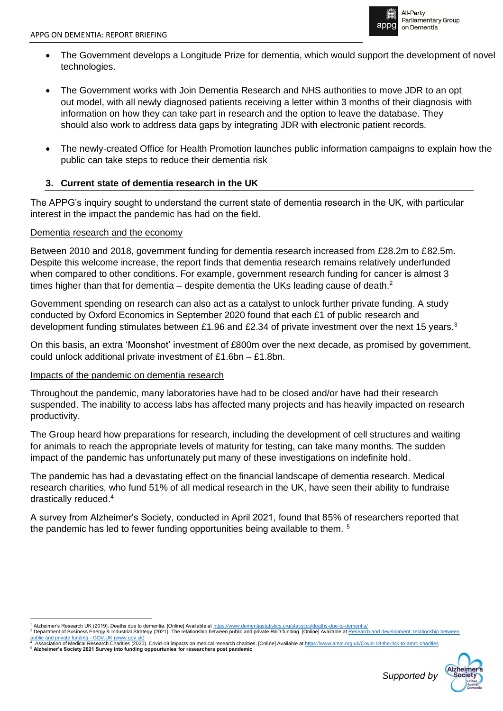

- The Government develops a Longitude Prize for dementia, which would support the development of novel technologies.
- The Government works with Join Dementia Research and NHS authorities to move JDR to an opt out model, with all newly diagnosed patients receiving a letter within 3 months of their diagnosis with information on how they can take part in research and the option to leave the database. They should also work to address data gaps by integrating JDR with electronic patient records.
- The newly-created Office for Health Promotion launches public information campaigns to explain how the public can take steps to reduce their dementia risk

# **3. Current state of dementia research in the UK**

The APPG's inquiry sought to understand the current state of dementia research in the UK, with particular interest in the impact the pandemic has had on the field.

# Dementia research and the economy

Between 2010 and 2018, government funding for dementia research increased from £28.2m to £82.5m. Despite this welcome increase, the report finds that dementia research remains relatively underfunded when compared to other conditions. For example, government research funding for cancer is almost 3 times higher than that for dementia – despite dementia the UKs leading cause of death. $<sup>2</sup>$ </sup>

Government spending on research can also act as a catalyst to unlock further private funding. A study conducted by Oxford Economics in September 2020 found that each £1 of public research and development funding stimulates between £1.96 and £2.34 of private investment over the next 15 years.<sup>3</sup>

On this basis, an extra 'Moonshot' investment of £800m over the next decade, as promised by government, could unlock additional private investment of £1.6bn – £1.8bn.

### Impacts of the pandemic on dementia research

Throughout the pandemic, many laboratories have had to be closed and/or have had their research suspended. The inability to access labs has affected many projects and has heavily impacted on research productivity.

The Group heard how preparations for research, including the development of cell structures and waiting for animals to reach the appropriate levels of maturity for testing, can take many months. The sudden impact of the pandemic has unfortunately put many of these investigations on indefinite hold.

The pandemic has had a devastating effect on the financial landscape of dementia research. Medical research charities, who fund 51% of all medical research in the UK, have seen their ability to fundraise drastically reduced. 4

A survey from Alzheimer's Society, conducted in April 2021, found that 85% of researchers reported that the pandemic has led to fewer funding opportunities being available to them.<sup>5</sup>

<sup>&</sup>lt;u>public and private funding - GOV.UK (www.gov.uk)</u><br><sup>4</sup> Association of Medical Research Charities (2020). Covid-19 impacts on medical research charities. [Online] Available at https://www.amrc.org.uk/Covid-19-the-risk-to-am <sup>5</sup> **Alzheimer's Society 2021 Survey into funding oppourtunies for researchers post pandemic**



<sup>&</sup>lt;sup>2</sup> Alzheimer's Research UK (2019). Deaths due to dementia. [Online] Available at https://www.den <sup>3</sup> Department of Business Energy & Industrial Strategy (2021). The relationship between public and private R&D funding. [Online] Available at Research and private R&D funding. [Online] Available at Research and private R&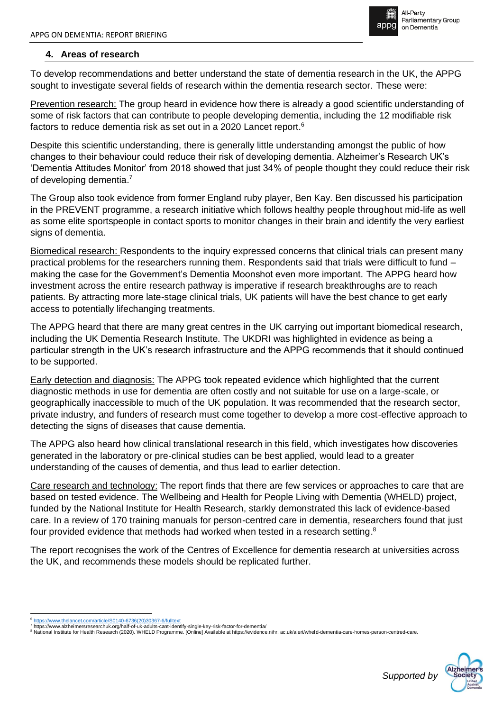

# **4. Areas of research**

To develop recommendations and better understand the state of dementia research in the UK, the APPG sought to investigate several fields of research within the dementia research sector. These were:

Prevention research: The group heard in evidence how there is already a good scientific understanding of some of risk factors that can contribute to people developing dementia, including the 12 modifiable risk factors to reduce dementia risk as set out in a 2020 Lancet report.<sup>6</sup>

Despite this scientific understanding, there is generally little understanding amongst the public of how changes to their behaviour could reduce their risk of developing dementia. Alzheimer's Research UK's 'Dementia Attitudes Monitor' from 2018 showed that just 34% of people thought they could reduce their risk of developing dementia.<sup>7</sup>

The Group also took evidence from former England ruby player, Ben Kay. Ben discussed his participation in the PREVENT programme, a research initiative which follows healthy people throughout mid-life as well as some elite sportspeople in contact sports to monitor changes in their brain and identify the very earliest signs of dementia.

Biomedical research: Respondents to the inquiry expressed concerns that clinical trials can present many practical problems for the researchers running them. Respondents said that trials were difficult to fund – making the case for the Government's Dementia Moonshot even more important. The APPG heard how investment across the entire research pathway is imperative if research breakthroughs are to reach patients. By attracting more late-stage clinical trials, UK patients will have the best chance to get early access to potentially lifechanging treatments.

The APPG heard that there are many great centres in the UK carrying out important biomedical research, including the UK Dementia Research Institute. The UKDRI was highlighted in evidence as being a particular strength in the UK's research infrastructure and the APPG recommends that it should continued to be supported.

Early detection and diagnosis: The APPG took repeated evidence which highlighted that the current diagnostic methods in use for dementia are often costly and not suitable for use on a large-scale, or geographically inaccessible to much of the UK population. It was recommended that the research sector, private industry, and funders of research must come together to develop a more cost-effective approach to detecting the signs of diseases that cause dementia.

The APPG also heard how clinical translational research in this field, which investigates how discoveries generated in the laboratory or pre-clinical studies can be best applied, would lead to a greater understanding of the causes of dementia, and thus lead to earlier detection.

Care research and technology: The report finds that there are few services or approaches to care that are based on tested evidence. The Wellbeing and Health for People Living with Dementia (WHELD) project, funded by the National Institute for Health Research, starkly demonstrated this lack of evidence-based care. In a review of 170 training manuals for person-centred care in dementia, researchers found that just four provided evidence that methods had worked when tested in a research setting.<sup>8</sup>

The report recognises the work of the Centres of Excellence for dementia research at universities across the UK, and recommends these models should be replicated further.

<sup>7</sup> https://www.alzheimersresearchuk.org/half-of-uk-adults-cant-identify-single-key-risk-factor-for-dementia/ 8 National Institute for Health Research (2020). WHELD Programme. [Online] Available at https://evidence.nihr. ac.uk/alert/wheld-dementia-care-homes-person-centred-care.



<sup>//</sup>www.thelancet.com/article/S0140-6736(20)30367-6/fullt